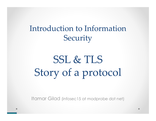Introduction to Information **Security** 

# SSL & TLS Story of a protocol

Itamar Gilad (infosec15 at modprobe dot net)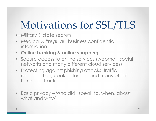## Motivations for SSL/TLS

- Military & state secrets
- Medical & "regular" business confidential information
- Online banking & online shopping
- Secure access to online services (webmail, social networks and many different cloud services)
- Protecting against phishing attacks, traffic manipulation, cookie stealing and many other forms of attack
- Basic privacy Who did I speak to, when, about what and why?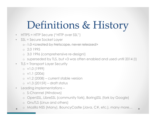## Definitions & History

- HTTPS = HTTP Secure ("HTTP over SSL")
- SSL = Secure Socket Layer
	- o 1.0 <created by Netscape, never released>
	- $0.201995$
	- o 3.0 1996 (comprehensive re-design!)
	- o superseded by TLS, but v3 was often enabled and used until 2014 (!)
- TLS = Transport Layer Security
	- o v1.0 (1999)
	- o v1.1 (2006)
	- o v1.2 (2008) current stable version
	- $\circ$  v1.3 (2015?) draft status
- Leading implementations
	- o S-Channel (Windows)
	- o OpenSSL, LibreSSL (community fork), BoringSSL (fork by Google)
	- o GnuTLS (Linux and others)
	- o Mozilla NSS (Many), BouncyCastle (Java, C#, etc.), many more…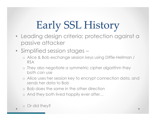# Early SSL History

- Leading design criteria: protection against a passive attacker
- Simplified session stages
	- o Alice & Bob exchange session keys using Diffie-Hellman / RSA
	- o They also negotiate a symmetric cipher algorithm they both can use
	- o Alice uses her session key to encrypt connection data, and sends her data to Bob
	- o Bob does the same in the other direction
	- o And they both lived happily ever after…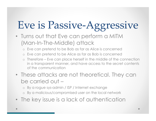## Eve is Passive-Aggressive

- Turns out that Eve can perform a MITM (Man-In-The-Middle) attack
	- o Eve can pretend to be Bob as far as Alice is concerned
	- o Eve can pretend to be Alice as far as Bob is concerned
	- o Therefore Eve can place herself in the middle of the connection in a transparent manner, and have access to the secret contents of the communication
- These attacks are not theoretical. They can be carried out –
	- o By a rogue sys-admin / ISP / Internet exchange
	- o By a malicious/compromised user on the local network
- The key issue is a lack of authentication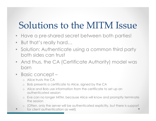#### Solutions to the MITM Issue

- Have a pre-shared secret between both parties!
- But that's really hard...
- Solution: Authenticate using a common third party both sides can trust
- And thus, the CA (Certificate Authority) model was born
- Basic concept
	- o Alice trusts the CA
	- Bob presents a certificate to Alice, signed by the CA
	- o Alice and Bob use information from the certificate to set up an authenticated session
	- o Eve can no longer MITM, because Alice will know and promptly terminate the session
	- o (Often, only the server will be authenticated explicitly, but there is support
	- for client authentication as well)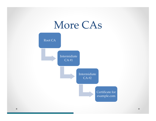#### More CAs



 $\bullet$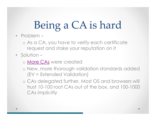## Being a CA is hard

- Problem
	- o As a CA, you have to verify each certificate request and stake your reputation on it
- Solution
	- o More CAs were created
	- o New, more thorough validation standards added (EV = Extended Validation)
	- o CAs delegated further. Most OS and browsers will trust 10-100 root CAs out of the box, and 100-1000 CAs implicitly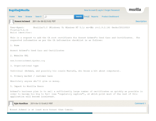| <b>Bugzilla@Mozilla</b>                                                                                                                                                                                                                               |                | New Account   Log In   Forgot Password | mozilla            |
|-------------------------------------------------------------------------------------------------------------------------------------------------------------------------------------------------------------------------------------------------------|----------------|----------------------------------------|--------------------|
| <b>Browse</b><br>Search<br>Home<br><b>New</b><br><b>Search</b>                                                                                                                                                                                        | [help] Reports | <b>Product Dashboard</b>               |                    |
| Honest Achmed 2011-04-06 02:31:02 PDT                                                                                                                                                                                                                 |                |                                        | <b>Description</b> |
| Mozilla/5.0 (Windows; U; Windows NT 5.1; en-GB; rv:1.9.2.16) Gecko/20110319<br>User-Agent:<br>Firefox/3.6.16<br>Build Identifier:                                                                                                                     |                |                                        |                    |
| This is a request to add the CA root certificate for Honest Achmed's Used Cars and Certificates.<br>The<br>requested information as per the CA information checklist is as follows:                                                                   |                |                                        |                    |
| 1. Name                                                                                                                                                                                                                                               |                |                                        |                    |
| Honest Achmed's Used Cars and Certificates                                                                                                                                                                                                            |                |                                        |                    |
| 2. Website URL                                                                                                                                                                                                                                        |                |                                        |                    |
| www.honestachmed.dyndns.org                                                                                                                                                                                                                           |                |                                        |                    |
| 3. Organizational type                                                                                                                                                                                                                                |                |                                        |                    |
| Individual (Achmed, and possibly his cousin Mustafa, who knows a bit about computers).                                                                                                                                                                |                |                                        |                    |
| 4. Primary market / customer base                                                                                                                                                                                                                     |                |                                        |                    |
| Absolutely anyone who'll give us money.                                                                                                                                                                                                               |                |                                        |                    |
| 5. Impact to Mozilla Users                                                                                                                                                                                                                            |                |                                        |                    |
| Achmed's business plan is to sell a sufficiently large number of certificates as quickly as possible in<br>order to become too big to fail (see "regulatory capture"), at which point most of the rest of this<br>application will become irrelevant. |                |                                        |                    |
| Kyle Hamilton 2011-04-13 13:49:27 PDT                                                                                                                                                                                                                 |                |                                        | <b>Comment 1</b>   |

Honest Achmed is at least more honest than Comodo.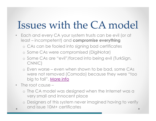## Issues with the CA model

- Each and every CA your system trusts can be evil (or at least – incompetent) and compromise everything
	- o CAs can be fooled into signing bad certificates
	- o Some CAs were compromised (DigiNotar)
	- o Some CAs are "evil"/forced into being evil (TurkSign, CNNIC)
	- o Even worse even when shown to be bad, some CAs were not removed (Comodo) because they were "too big to fail". More info
- The root cause
	- o The CA model was designed when the Internet was a very small and innocent place
	- o Designers of this system never imagined having to verify and issue 10M+ certificates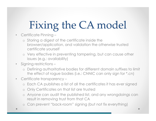## Fixing the CA model

- Certificate Pinning
	- o Storing a digest of the certificate inside the browser/application, and validation the otherwise trusted certificate yourself
	- o Very effective in preventing tampering, but can cause other issues (e.g.: availability)
- Signing restrictions
	- o Defining authoritative bodies for different domain suffixes to limit the effect of rogue bodies (i.e.: CNNIC can only sign for \*.cn)
- Certificate transparency
	- o Each CA publishes a list of all the certificates it has ever signed
	- o Only Certificates on that list are trusted
	- o Anyone can audit the published list, and any wrongdoings can result in removing trust from that CA
	- o Can prevent "back-room" signing (but not fix everything)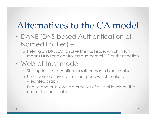#### Alternatives to the CA model

- DANE (DNS-based Authentication of Named Entities) –
	- o Relying on DNSSEC to solve the trust issue, which in turn means DNS zone controllers also control TLS authentication

#### • Web-of-trust model

- o Shifting trust to a continuum rather than a binary value
- o Users define a level of trust per peer, which make a weighted graph
- o End-to-end trust level is a product of all trust levels on the arcs of the best path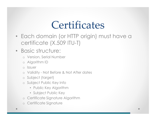#### **Certificates**

• Each domain (or HTTP origin) must have a certificate (X.509 ITU-T)

#### • Basic structure:

- o Version, Serial Number
- o Algorithm ID
- o Issuer
- o Validity Not Before & Not After dates
- o Subject (target)
- o Subject Public Key Info
	- Public Key Algorithm
	- Subject Public Key
- o Certificate Signature Algorithm
- o Certificate Signature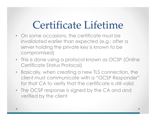### Certificate Lifetime

- On some occasions, the certificate must be invalidated earlier than expected (e.g.: after a server holding the private key is known to be compromised)
- This is done using a protocol known as OCSP (Online Certificate Status Protocol)
- Basically, when creating a new TLS connection, the client must communicate with a "OCSP Responder" for that CA to verify that the certificate is still valid
- The OCSP response is signed by the CA and and verified by the client